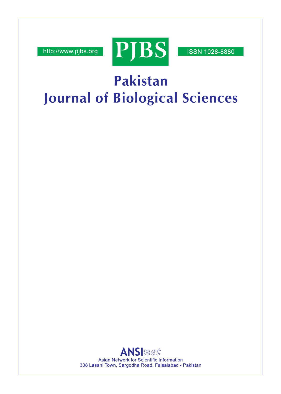http://www.pjbs.org



**ISSN 1028-8880** 

# Pakistan **Journal of Biological Sciences**

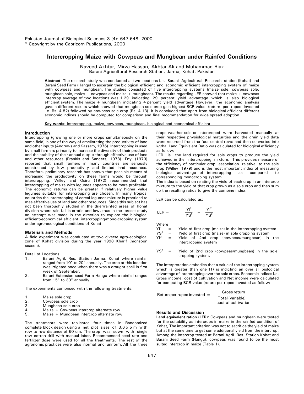## **Intercropping Maize with Cowpeas and Mungbean under Rainfed Conditions**

Naveed Akhtar, Mirza Hassan, Akhtar Ali and Muhammad Riaz Barani Agricultural Research Station, Jarma, Kohat, Pakistan

**Abstract:** The research study was conducted at two locations i.e. Barani Agricultural Research station (Kohat) and Barani Seed Farm (Hangul to ascertain the biological efficient and economic efficient intercropping system of maize with cowpeas and mungbean. The studies consisted of five intercropping systems (maize sole, cowpeas sole, mungbean sole, maize + cowpeas and maize + mungbean). The results regarding LER showed that maize + cowpeas intercrop average of two locations was 1.29 indicating 29 percent yield advantage which is also biological efficient system. The maize + mungbean indicating 4 percent yield advantage. However, the economic analysis gave a different results which showed that mungbean sole crop gain highest BCR value (return per rupee invested i.e. Rs. 4.82) followed by cowpeas sole crop (Rs. 4.13). It is concluded that apart from biological efficient different economic indices should be computed for comparison and final recommendation for wide spread adoption.

**Key words:** Intercropping, maize, cowpeas, mungbean, biological and economical efficient

#### **Introduction**

Intercropping (growing one or more crops simultaneously on the same field) is one of the way of ameliorating the productivity of land and other inputs (Andrews and Kassam, 1976). Intercropping is used by small farmers primarily to increase the diversity of their products and the stability of their annual output through effective use of land and other resources (Frankis and Sanders, 1978). Enyi (1973) reported that small farmers in many countries are seriously constrained by low productivity and limited land resources. Therefore, preliminary research has shown that possible means of increasing the productivity on these farms would be through intercropping. Willey and Osiru (1972) recommended that intercropping of maize with legumes appears to be more profitable. The economic returns can be greater if relatively higher value legumes suitable for intercropping are chosen. In many tropical countries the intercropping of cereal-legumes mixture is practiced to mae effective use of land and other resources. Since this subject has not been thoroughly studied in the drier/rainfed areas of Kohat division where rain fall is erratic and low, thus in the preset study an attempt was made in the direction to explore the biological efficient/economical efficient intercropping/mono-cropping system under agro-ecological conditions of Kohat.

#### **Materials and Methods**

A field experiment was conducted at two diverse agro-ecological zone of Kohat division during the year 1998 Kharif (monsoon season).

Detail of Locations

- 1. Barani Agril. Res. Station Jarma, Kohat where rainfall ranged from 10" to 20" annually. The crop at this location was irrigated once when there was a drought spell in first week of September.
- 2. Barani Extension seed Farm Hangu where rainfall ranged from 15" to 30" annually.

The experiments comprised with the following treatments:

- 1. Maize sole crop
- 2. Cowpeas sole crop<br>3. Mungbean sole crop
- 3. Mungbean sole crop<br>4. Maize + Cowpeas in
- 4. Maize + Cowpeas intercrop alternate row<br>5. Maize + Mungbean intercrop alternate row
- Maize + Mungbean intercrop alternate row

The treatments were replicated four times in Randomized complete block design using a net plot sizes of 3.6 x 5 m with row to row distance of 60 cm. The crop was sown with single row cotton drill with manual labor. Recommended seed rate and fertilizer dose were used for all the treatments. The rest of the agronomic practices were also normal and uniform. All the three crops weather sole or intercroped were harvested manually at their respective physiological maturities and the grain yield data were recorded from the four central rows and then converted into kg/ha. Land Equivalent Ratio was calculated for biological efficiency as follow:

LER is the land required for sole crops to produce the yield achieved in the intercropping mixture. This provides measure of the efficiency of particular crop association relative to the sole crop (Willey, 1979) and is the most important index of measuring biological advantage of intercropping as compared to corresponding monocroping system.

The index is based on relating the yield of each crop in an intercrop mixture to the yield of that crop grown as a sole crop and then sum up the resulting ratios to give the combine index.

LER can be calculated as:

$$
LER = \frac{YI^1}{YS^1} + \frac{YI^2}{YS^2}
$$

Where<br>Yl<sup>1</sup>

- $Y1<sup>1</sup>$  = Yield of first crop (maize) in the intercropping system<br>YS<sup>1</sup> = Yield of first crop (maize) in sole cropping system
- $\gamma S^1$  = Yield of first crop (maize) in sole cropping system<br> $\gamma I^2$  = Yield of 2nd crop (cowpeas/mungbean) in
- Yield of 2nd crop (cowpeas/mungbean) in the intercrooping system
- $YS^2$  = Yield of 2nd crop (cowpeas/mungbean) in the sole' cropping system.

The interpretation embodies that a value of the intercropping system which is greater than one (1) is indicting an over all biological advantage of intercropping over the sole crops. Economic indices i.e. Gross income, cost of cultivation and Net income were calculated for computing BCR value (return per rupee invested as follow:

| Return per rupee invested $=$ | Gross return        |
|-------------------------------|---------------------|
|                               | Total (variable)    |
|                               | cost of cultivation |

### **Results and Discussion**

**Land equivalent ration (LER):** Cowpeas and mungbean were tested for the suitability as intercrops in maize in the rainfed condition of Kohat, The important criterion was not to sacrifice the yield of maize but at the same time to get some additional yield from the intercrop. Among the intercrop tested at Barani Agril. Res. Station Kohat and Barani Seed Farm (Hangu), cowpeas was found to be the most suited intercrop in maize (Table 1).